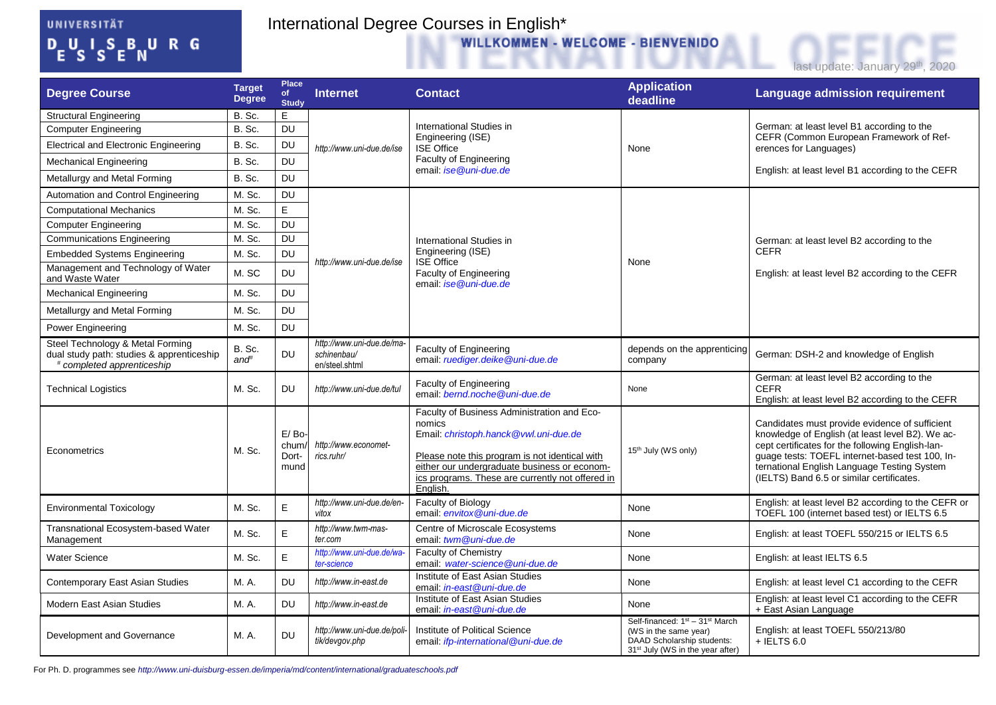## UNIVERSITÄT  $D_{E}U_{S}I_{S}S_{E}B_{N}U_{R}G$

## International Degree Courses in English\*<br>WILLKOMMEN - WELCOME - BIENVENIDO



| <b>Degree Course</b>                                                                                        | <b>Target</b><br><b>Degree</b> | <b>Place</b><br><b>of</b><br><b>Study</b> | <b>Internet</b>                                            | <b>Contact</b>                                                                                                                                                                                                                                                   | <b>Application</b><br>deadline                                                                                                                                 | <b>Language admission requirement</b>                                                                                                                                                                                                                                                                 |
|-------------------------------------------------------------------------------------------------------------|--------------------------------|-------------------------------------------|------------------------------------------------------------|------------------------------------------------------------------------------------------------------------------------------------------------------------------------------------------------------------------------------------------------------------------|----------------------------------------------------------------------------------------------------------------------------------------------------------------|-------------------------------------------------------------------------------------------------------------------------------------------------------------------------------------------------------------------------------------------------------------------------------------------------------|
| <b>Structural Engineering</b>                                                                               | B. Sc.                         | E                                         | http://www.uni-due.de/ise                                  | International Studies in<br>Engineering (ISE)<br><b>ISE Office</b><br><b>Faculty of Engineering</b><br>email: ise @uni-due.de                                                                                                                                    | None                                                                                                                                                           | German: at least level B1 according to the<br>CEFR (Common European Framework of Ref-<br>erences for Languages)                                                                                                                                                                                       |
| <b>Computer Engineering</b>                                                                                 | B. Sc.                         | <b>DU</b>                                 |                                                            |                                                                                                                                                                                                                                                                  |                                                                                                                                                                |                                                                                                                                                                                                                                                                                                       |
| <b>Electrical and Electronic Engineering</b>                                                                | B. Sc.                         | DU                                        |                                                            |                                                                                                                                                                                                                                                                  |                                                                                                                                                                |                                                                                                                                                                                                                                                                                                       |
| <b>Mechanical Engineering</b>                                                                               | B. Sc.                         | <b>DU</b>                                 |                                                            |                                                                                                                                                                                                                                                                  |                                                                                                                                                                | English: at least level B1 according to the CEFR                                                                                                                                                                                                                                                      |
| Metallurgy and Metal Forming                                                                                | B. Sc.                         | <b>DU</b>                                 |                                                            |                                                                                                                                                                                                                                                                  |                                                                                                                                                                |                                                                                                                                                                                                                                                                                                       |
| Automation and Control Engineering                                                                          | M. Sc.                         | DU                                        | http://www.uni-due.de/ise                                  | International Studies in<br>Engineering (ISE)<br><b>ISE Office</b><br>Faculty of Engineering<br>email: ise@uni-due.de                                                                                                                                            | None                                                                                                                                                           | German: at least level B2 according to the<br><b>CEFR</b><br>English: at least level B2 according to the CEFR                                                                                                                                                                                         |
| <b>Computational Mechanics</b>                                                                              | M. Sc.                         | E                                         |                                                            |                                                                                                                                                                                                                                                                  |                                                                                                                                                                |                                                                                                                                                                                                                                                                                                       |
| <b>Computer Engineering</b>                                                                                 | M. Sc.                         | <b>DU</b>                                 |                                                            |                                                                                                                                                                                                                                                                  |                                                                                                                                                                |                                                                                                                                                                                                                                                                                                       |
| <b>Communications Engineering</b>                                                                           | M. Sc.                         | <b>DU</b>                                 |                                                            |                                                                                                                                                                                                                                                                  |                                                                                                                                                                |                                                                                                                                                                                                                                                                                                       |
| <b>Embedded Systems Engineering</b>                                                                         | M. Sc.                         | <b>DU</b>                                 |                                                            |                                                                                                                                                                                                                                                                  |                                                                                                                                                                |                                                                                                                                                                                                                                                                                                       |
| Management and Technology of Water<br>and Waste Water                                                       | M. SC                          | <b>DU</b>                                 |                                                            |                                                                                                                                                                                                                                                                  |                                                                                                                                                                |                                                                                                                                                                                                                                                                                                       |
| <b>Mechanical Engineering</b>                                                                               | M. Sc.                         | <b>DU</b>                                 |                                                            |                                                                                                                                                                                                                                                                  |                                                                                                                                                                |                                                                                                                                                                                                                                                                                                       |
| Metallurgy and Metal Forming                                                                                | M. Sc.                         | DU                                        |                                                            |                                                                                                                                                                                                                                                                  |                                                                                                                                                                |                                                                                                                                                                                                                                                                                                       |
| Power Engineering                                                                                           | M. Sc.                         | <b>DU</b>                                 |                                                            |                                                                                                                                                                                                                                                                  |                                                                                                                                                                |                                                                                                                                                                                                                                                                                                       |
| Steel Technology & Metal Forming<br>dual study path: studies & apprenticeship<br># completed apprenticeship | B. Sc.<br>and <sup>#</sup>     | <b>DU</b>                                 | http://www.uni-due.de/ma-<br>schinenbau/<br>en/steel.shtml | Faculty of Engineering<br>email: ruediger.deike@uni-due.de                                                                                                                                                                                                       | depends on the apprenticing<br>company                                                                                                                         | German: DSH-2 and knowledge of English                                                                                                                                                                                                                                                                |
| <b>Technical Logistics</b>                                                                                  | M. Sc.                         | DU                                        | http://www.uni-due.de/tul                                  | Faculty of Engineering<br>email: bernd.noche@uni-due.de                                                                                                                                                                                                          | None                                                                                                                                                           | German: at least level B2 according to the<br><b>CEFR</b><br>English: at least level B2 according to the CEFR                                                                                                                                                                                         |
| Econometrics                                                                                                | M. Sc.                         | E/Bo<br>chum<br>Dort-<br>mund             | http://www.economet-<br>rics.ruhr/                         | Faculty of Business Administration and Eco-<br>nomics<br>Email: christoph.hanck@vwl.uni-due.de<br>Please note this program is not identical with<br>either our undergraduate business or econom-<br>ics programs. These are currently not offered in<br>English. | 15 <sup>th</sup> July (WS only)                                                                                                                                | Candidates must provide evidence of sufficient<br>knowledge of English (at least level B2). We ac-<br>cept certificates for the following English-lan-<br>guage tests: TOEFL internet-based test 100, In-<br>ternational English Language Testing System<br>(IELTS) Band 6.5 or similar certificates. |
| <b>Environmental Toxicology</b>                                                                             | M. Sc.                         | E.                                        | http://www.uni-due.de/en-<br>vitox                         | Faculty of Biology<br>email: envitox@uni-due.de                                                                                                                                                                                                                  | None                                                                                                                                                           | English: at least level B2 according to the CEFR or<br>TOEFL 100 (internet based test) or IELTS 6.5                                                                                                                                                                                                   |
| Transnational Ecosystem-based Water<br>Management                                                           | M. Sc.                         | E                                         | http://www.twm-mas-<br>ter.com                             | Centre of Microscale Ecosystems<br>email: twm@uni-due.de                                                                                                                                                                                                         | None                                                                                                                                                           | English: at least TOEFL 550/215 or IELTS 6.5                                                                                                                                                                                                                                                          |
| <b>Water Science</b>                                                                                        | M. Sc.                         | E                                         | http://www.uni-due.de/wa-<br>ter-science                   | Faculty of Chemistry<br>email: water-science@uni-due.de                                                                                                                                                                                                          | None                                                                                                                                                           | English: at least IELTS 6.5                                                                                                                                                                                                                                                                           |
| <b>Contemporary East Asian Studies</b>                                                                      | M. A.                          | DU                                        | http://www.in-east.de                                      | Institute of East Asian Studies<br>email: <i>in-east@uni-due.de</i>                                                                                                                                                                                              | None                                                                                                                                                           | English: at least level C1 according to the CEFR                                                                                                                                                                                                                                                      |
| Modern East Asian Studies                                                                                   | M. A.                          | <b>DU</b>                                 | http://www.in-east.de                                      | Institute of East Asian Studies<br>email: in-east@uni-due.de                                                                                                                                                                                                     | None                                                                                                                                                           | English: at least level C1 according to the CEFR<br>+ East Asian Language                                                                                                                                                                                                                             |
| Development and Governance                                                                                  | M. A.                          | <b>DU</b>                                 | http://www.uni-due.de/poli-<br>tik/devgov.php              | Institute of Political Science<br>email: <i>ifp-international</i> @uni-due.de                                                                                                                                                                                    | Self-financed: 1 <sup>st</sup> - 31 <sup>st</sup> March<br>(WS in the same year)<br>DAAD Scholarship students:<br>31 <sup>st</sup> July (WS in the year after) | English: at least TOEFL 550/213/80<br>$+$ IELTS 6.0                                                                                                                                                                                                                                                   |